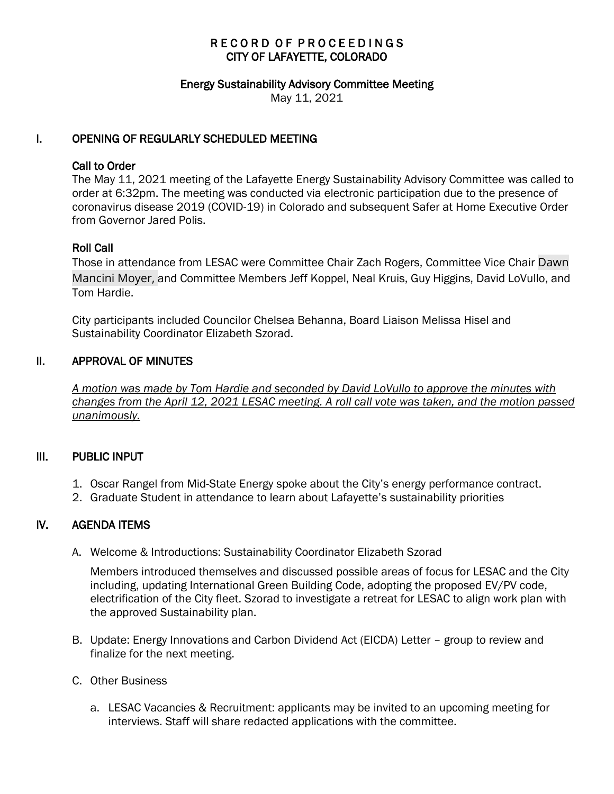# RECORD OF PROCEEDINGS CITY OF LAFAYETTE, COLORADO

### Energy Sustainability Advisory Committee Meeting

May 11, 2021

### I. OPENING OF REGULARLY SCHEDULED MEETING

### Call to Order

The May 11, 2021 meeting of the Lafayette Energy Sustainability Advisory Committee was called to order at 6:32pm. The meeting was conducted via electronic participation due to the presence of coronavirus disease 2019 (COVID-19) in Colorado and subsequent Safer at Home Executive Order from Governor Jared Polis.

### Roll Call

Those in attendance from LESAC were Committee Chair Zach Rogers, Committee Vice Chair Dawn Mancini Moyer, and Committee Members Jeff Koppel, Neal Kruis, Guy Higgins, David LoVullo, and Tom Hardie.

City participants included Councilor Chelsea Behanna, Board Liaison Melissa Hisel and Sustainability Coordinator Elizabeth Szorad.

### II. APPROVAL OF MINUTES

 *A motion was made by Tom Hardie and seconded by David LoVullo to approve the minutes with changes from the April 12, 2021 LESAC meeting. A roll call vote was taken, and the motion passed unanimously.* 

### III. PUBLIC INPUT

- 1. Oscar Rangel from Mid-State Energy spoke about the City's energy performance contract.
- 2. Graduate Student in attendance to learn about Lafayette's sustainability priorities

## IV. AGENDA ITEMS

A. Welcome & Introductions: Sustainability Coordinator Elizabeth Szorad

Members introduced themselves and discussed possible areas of focus for LESAC and the City including, updating International Green Building Code, adopting the proposed EV/PV code, electrification of the City fleet. Szorad to investigate a retreat for LESAC to align work plan with the approved Sustainability plan.

- B. Update: Energy Innovations and Carbon Dividend Act (EICDA) Letter group to review and finalize for the next meeting.
- C. Other Business
	- a. LESAC Vacancies & Recruitment: applicants may be invited to an upcoming meeting for interviews. Staff will share redacted applications with the committee.